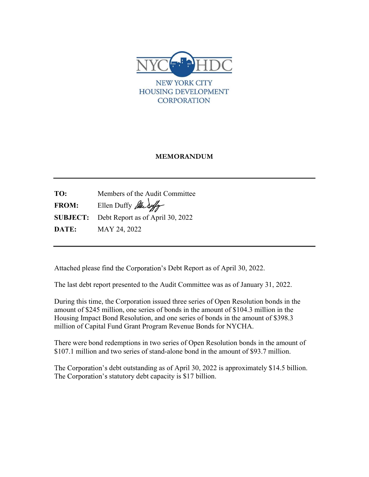

# MEMORANDUM

TO: Members of the Audit Committee FROM: Ellen Duffy  $\mathcal{H}\left(\mathcal{H}\right)$ SUBJECT: Debt Report as of April 30, 2022 **DATE:** MAY 24, 2022

Attached please find the Corporation's Debt Report as of April 30, 2022.

The last debt report presented to the Audit Committee was as of January 31, 2022.

During this time, the Corporation issued three series of Open Resolution bonds in the amount of \$245 million, one series of bonds in the amount of \$104.3 million in the Housing Impact Bond Resolution, and one series of bonds in the amount of \$398.3 million of Capital Fund Grant Program Revenue Bonds for NYCHA.

There were bond redemptions in two series of Open Resolution bonds in the amount of \$107.1 million and two series of stand-alone bond in the amount of \$93.7 million.

The Corporation's debt outstanding as of April 30, 2022 is approximately \$14.5 billion. The Corporation's statutory debt capacity is \$17 billion.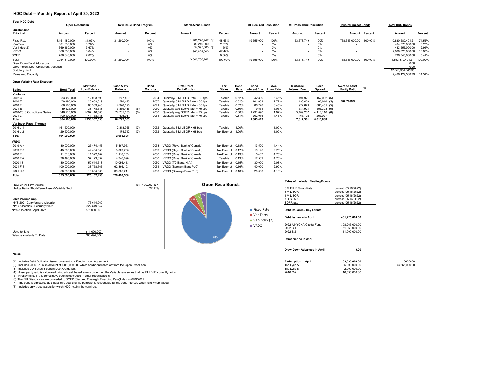### **HDC Debt -- Monthly Report of April 30, 2022**

| <b>Total HDC Debt</b>                                           |                        |         |                               |                |                          |         |                              |         |                         |                |                             |                |                           |         |
|-----------------------------------------------------------------|------------------------|---------|-------------------------------|----------------|--------------------------|---------|------------------------------|---------|-------------------------|----------------|-----------------------------|----------------|---------------------------|---------|
|                                                                 | <b>Open Resolution</b> |         | <b>New Issue Bond Program</b> |                | <b>Stand-Alone Bonds</b> |         | <b>MF Secured Resolution</b> |         | MF Pass-Thru Resolution |                | <b>Housing Impact Bonds</b> |                | <b>Total HDC Bonds</b>    |         |
| Outstanding<br>Principal                                        | <b>Amount</b>          | Percent | Amount                        | <b>Percent</b> | <b>Amount</b>            | Percent | <b>Amount</b>                | Percent | Amount                  | <b>Percent</b> | <b>Amount</b>               | <b>Percent</b> | <b>Amount</b>             | Percent |
| <b>Fixed Rate</b>                                               | 8.151.480.000          | 81.07%  | 131,280,000                   | 100%           | 1,706,276,742 (1)        | 48.66%  | 19,555,000                   | 100%    | 53,673,749              | 100%           | 768.315.000.00              | 100.00%        | 10.830.580.491.21         | 74.52%  |
| Var-Term                                                        | 381,330,000            | 3.79%   |                               | 0%             | 83,240,000               | 2.37%   |                              | 0%      |                         | 0%             |                             |                | 464.570.000.00            | 3.20%   |
| Var-Index (2)                                                   | 369,160,000            | 3.67%   |                               | 0%             | 54,395,000 (3)           | 1.55%   |                              | 0%      |                         | 0%             |                             |                | 423,555,000.00            | 2.91%   |
| <b>VRDO</b>                                                     | 366,000,000            | 3.64%   |                               | 0%             | 1,662,825,000            | 47.42%  |                              | 0%      |                         | 0%             |                             |                | 2,028,825,000.00          | 13.96%  |
| <b>SOFR</b>                                                     | 786.340.000            | 7.82%   |                               | 0%             |                          | 0.00%   |                              | 0%      |                         | 0%             |                             |                | 786,340,000.00            | 5.41%   |
| Total                                                           | 10,054,310,000         | 100.00% | 131,280,000                   | 100%           | 3,506,736,742            | 100.00% | 19,555,000                   | 100%    | 53,673,749              | 100%           | 768,315,000.00              | 100.00%        | 14,533,870,491.21         | 100.00% |
| Draw Down Bond Allocations                                      |                        |         |                               |                |                          |         |                              |         |                         |                |                             |                | 0.00                      |         |
| Government Debt Obligation Allocation<br><b>Statutory Limit</b> |                        |         |                               |                |                          |         |                              |         |                         |                |                             |                | 0.00<br>17,000,000,000.00 |         |

Remaining Capacity 2,466,129,508.79 14.51%

### **Open Variable Rate Exposure**

|                              |                   | Mortgage            | Cash & Inv     |     | <b>Bond</b>     | <b>Rate Reset</b>                 | Tax           | <b>Bond</b> | <b>Bond</b>         | Avg.             | Mortgage            | Loan            | <b>Average Asset</b> | (4) |
|------------------------------|-------------------|---------------------|----------------|-----|-----------------|-----------------------------------|---------------|-------------|---------------------|------------------|---------------------|-----------------|----------------------|-----|
| Series                       | <b>Bond Total</b> | <b>Loan Balance</b> | <b>Balance</b> |     | <b>Maturity</b> | Period/ Index                     | <b>Status</b> | Rate        | <b>Interest Due</b> | <b>Loan Rate</b> | <b>Interest Due</b> | Spread          | <b>Parity Ratio</b>  |     |
| Var-Index                    |                   |                     |                |     |                 |                                   |               |             |                     |                  |                     |                 |                      |     |
| 2002 C                       | 33,080,000        | 12,083,598          | 277,400        |     | 2034            | Quarterly/ 3 M FHLB Rate + 30 bps | Taxable       | 0.52%       | 42,839              | 6.45%            | 194,921             | 152,082 (5)     |                      |     |
| 2008 E                       | 78,495,000        | 28,039,019          | 578,498        |     | 2037            | Quarterly/ 3 M FHLB Rate + 30 bps | Taxable       | 0.52%       | 101,651             | 2.72%            | 190,469             | 88,818 (5)      | 152.7755%            |     |
| 2008 F                       | 66,585,000        | 60,309,945          | 4,926,195      |     | 2041            | Quarterly/ 3 M FHLB Rate + 30 bps | Taxable       | 0.52%       | 86,228              | 6.45%            | 972,679             | 886,451 (5)     |                      |     |
| 2021 E                       | 39,825,000        | 38,778,388          | 3,869,415      | (6) | 2050            | Quarterly Avg SOFR rate +75 bps   | Taxable       | 0.80%       | 79,531              | 6.03%            | 584,924             | 505,393 (6)     |                      |     |
| 2008-2018 Consolidate Series | 646,515,000       | 1,097,146,585       | 74,735,135     | (6) | 2050            | Quarterly Avg SOFR rate +75 bps   | Taxable       | 0.80%       | 1,291,090           | 1.97%            | 5,409,207           | $4,118,116$ (6) |                      |     |
| 2021 L                       | 100,000,000       | 41,758,138          | 405,911        |     | 2061            | Quarterly Avg SOFR rate +76 bps   | Taxable       | 0.81%       | 202,075             | 4.46%            | 465,102             | 263,027         |                      |     |
| Total                        | 864,500,000       | 1,236,357,533       | 84,792,553     |     |                 |                                   |               |             | 1,803,413           |                  | 7,817,301           | 6,013,888       |                      |     |
| Var-Index Pass -Through      |                   |                     |                |     |                 |                                   |               |             |                     |                  |                     |                 |                      |     |
| 2016 J-1                     | 161,500,000       |                     | 2,818,956      | (7) | 2052            | Quarterly/ 3 M LIBOR + 68 bps     | Taxable       | 1.00%       |                     | 1.00%            |                     |                 |                      |     |
| 2016 J-2                     | 29,500,000        |                     | 174,742        | (7) | 2052            | Quarterly/ 3 M LIBOR + 68 bps     | Tax-Exempt    | 1.00%       |                     | 1.00%            |                     |                 |                      |     |
| <b>Total</b>                 | 191,000,000       |                     | 2,993,698      |     |                 |                                   |               |             |                     |                  |                     |                 |                      |     |
| <b>VRDO</b>                  |                   |                     |                |     |                 |                                   |               |             |                     |                  |                     |                 |                      |     |
| 2019 A-4                     | 30,000,000        | 25,474,456          | 5,467,953      |     | 2058            | VRDO (Royal Bank of Canada)       | Tax-Exempt    | 0.18%       | 13,500              | 4.44%            |                     |                 |                      |     |
| 2019 E-3                     | 45,000,000        | 42,484,958          | 3,029,785      |     | 2059            | VRDO (Royal Bank of Canada)       | Tax-Exempt    | 0.17%       | 19,125              | 2.75%            |                     |                 |                      |     |
| 2020 E                       | 11,510,000        | 11,322,102          | 1,118,153      |     | 2050            | VRDO (Royal Bank of Canada)       | Tax-Exempt    | 0.19%       | 5,467               | 4.75%            |                     |                 |                      |     |
| 2020 F-2                     | 38,490,000        | 37,123,332          | 4,346,890      |     | 2060            | VRDO (Royal Bank of Canada)       | Taxable       | 0.13%       | 12,509              | 4.76%            |                     |                 |                      |     |
| 2020 1-3                     | 80,000,000        | 59,544,518          | 10,056,413     |     | 2060            | VRDO (TD Bank, N.A.)              | Tax-Exempt    | 0.15%       | 30,000              | 2.08%            |                     |                 |                      |     |
| 2021 F-3                     | 100,000,000       | 38,758,766          | 62,866,103     |     | 2061            | VRDO (Barclays Bank PLC)          | Tax-Exempt    | 0.16%       | 40,000              | 2.90%            |                     |                 |                      |     |
| 2021 K-3                     | 50,000,000        | 10,394,366          | 39,605,211     |     | 2060            | VRDO (Barclays Bank PLC)          | Tax-Exempt    | 0.16%       | 20,000              | 4.13%            |                     |                 |                      |     |
| Total                        | 355,000,000       | 225.102.498         | 126,490,508    |     |                 |                                   |               |             |                     |                  |                     |                 |                      |     |





**Rates of the Index Floating Bonds:**

Debt Issuance / Key Events

**Remarketing in April:**

3 M LIBOR - current (05/16/2022)<br>1 M LIBOR - current (05/16/2022)<br>2 current (05/16/2022) 1 M LIBOR - current (05/16/2022)<br>
7 D SIFMA - current (05/16/2022)

**Debt Issuance in April: 461,225,000.00** 2022 A NYCHA Capital Fund 398,265,000.00<br>2022 B-1 51,960,000.00<br>2022 B-2 11,000,000.00

**Draw Down Advances in April: 0.00**

51,960,000.00<br>11,000,000.00

| . . |
|-----|

(1) Includes Debta of Structured as a pass-1ntu deal and the borower is reader of from the Open Resolution.<br>
(2) Includes DD Bonds & certain Debt Obligation. (3) Includes DD Bonds & certain Debt Obligation. (3) Includes DD